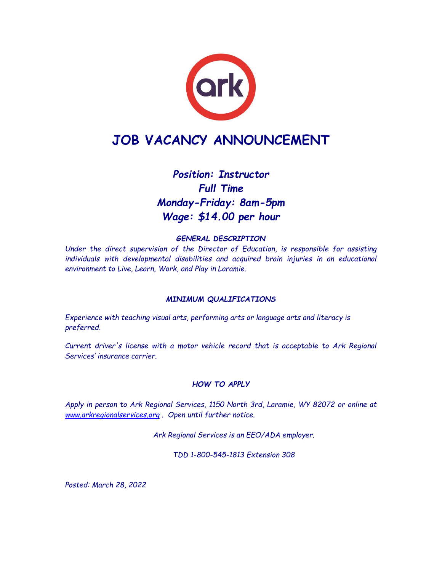

# **JOB VACANCY ANNOUNCEMENT**

## *Position: Instructor Full Time Monday-Friday: 8am-5pm Wage: \$14.00 per hour*

## *GENERAL DESCRIPTION*

*Under the direct supervision of the Director of Education, is responsible for assisting individuals with developmental disabilities and acquired brain injuries in an educational environment to Live, Learn, Work, and Play in Laramie.*

### *MINIMUM QUALIFICATIONS*

*Experience with teaching visual arts, performing arts or language arts and literacy is preferred.*

*Current driver's license with a motor vehicle record that is acceptable to Ark Regional Services' insurance carrier.*

### *HOW TO APPLY*

*Apply in person to Ark Regional Services, 1150 North 3rd, Laramie, WY 82072 or online at [www.arkregionalservices.org](http://www.arkregionalservices.org/) . Open until further notice.*

*Ark Regional Services is an EEO/ADA employer.*

*TDD 1-800-545-1813 Extension 308*

*Posted: March 28, 2022*